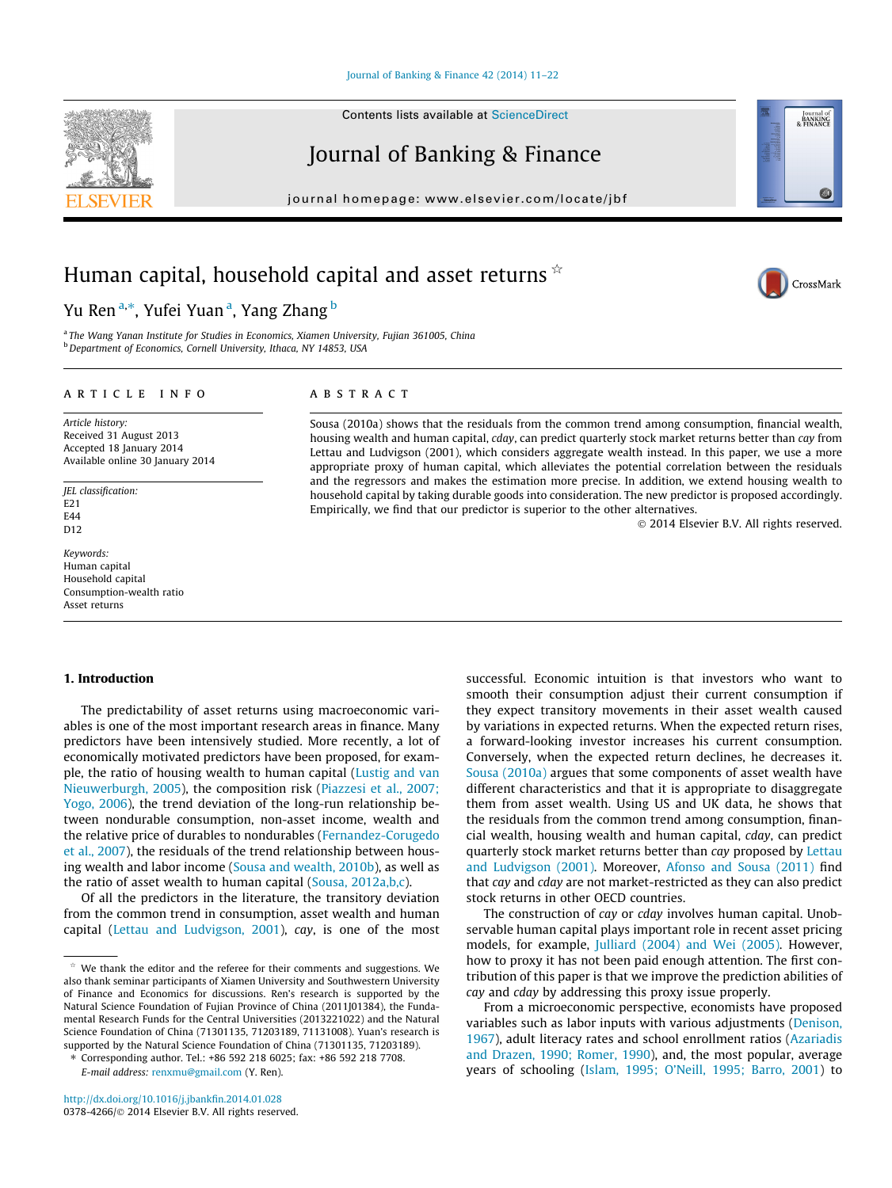#### [Journal of Banking & Finance 42 \(2014\) 11–22](http://dx.doi.org/10.1016/j.jbankfin.2014.01.028)

Contents lists available at [ScienceDirect](http://www.sciencedirect.com/science/journal/03784266)

## Journal of Banking & Finance

journal homepage: [www.elsevier.com/locate/jbf](http://www.elsevier.com/locate/jbf)

# Human capital, household capital and asset returns  $\dot{\mathbf{r}}$

## Yu Ren<sup>a,</sup>\*, Yufei Yuan<sup>a</sup>, Yang Zhang <sup>b</sup>

<sup>a</sup> The Wang Yanan Institute for Studies in Economics, Xiamen University, Fujian 361005, China **b** Department of Economics, Cornell University, Ithaca, NY 14853, USA

#### article info

Article history: Received 31 August 2013 Accepted 18 January 2014 Available online 30 January 2014

JEL classification:  $F21$ E44 D<sub>12</sub>

#### Keywords: Human capital Household capital Consumption-wealth ratio Asset returns

#### 1. Introduction

The predictability of asset returns using macroeconomic variables is one of the most important research areas in finance. Many predictors have been intensively studied. More recently, a lot of economically motivated predictors have been proposed, for example, the ratio of housing wealth to human capital ([Lustig and van](#page--1-0) [Nieuwerburgh, 2005](#page--1-0)), the composition risk ([Piazzesi et al., 2007;](#page--1-0) [Yogo, 2006](#page--1-0)), the trend deviation of the long-run relationship between nondurable consumption, non-asset income, wealth and the relative price of durables to nondurables [\(Fernandez-Corugedo](#page--1-0) [et al., 2007](#page--1-0)), the residuals of the trend relationship between housing wealth and labor income ([Sousa and wealth, 2010b\)](#page--1-0), as well as the ratio of asset wealth to human capital [\(Sousa, 2012a,b,c](#page--1-0)).

Of all the predictors in the literature, the transitory deviation from the common trend in consumption, asset wealth and human capital ([Lettau and Ludvigson, 2001](#page--1-0)), cay, is one of the most

⇑ Corresponding author. Tel.: +86 592 218 6025; fax: +86 592 218 7708. E-mail address: [renxmu@gmail.com](mailto:renxmu@gmail.com) (Y. Ren).

### **ABSTRACT**

Sousa (2010a) shows that the residuals from the common trend among consumption, financial wealth, housing wealth and human capital, cday, can predict quarterly stock market returns better than cay from Lettau and Ludvigson (2001), which considers aggregate wealth instead. In this paper, we use a more appropriate proxy of human capital, which alleviates the potential correlation between the residuals and the regressors and makes the estimation more precise. In addition, we extend housing wealth to household capital by taking durable goods into consideration. The new predictor is proposed accordingly. Empirically, we find that our predictor is superior to the other alternatives.

- 2014 Elsevier B.V. All rights reserved.

successful. Economic intuition is that investors who want to smooth their consumption adjust their current consumption if they expect transitory movements in their asset wealth caused by variations in expected returns. When the expected return rises, a forward-looking investor increases his current consumption. Conversely, when the expected return declines, he decreases it. [Sousa \(2010a\)](#page--1-0) argues that some components of asset wealth have different characteristics and that it is appropriate to disaggregate them from asset wealth. Using US and UK data, he shows that the residuals from the common trend among consumption, financial wealth, housing wealth and human capital, cday, can predict quarterly stock market returns better than cay proposed by [Lettau](#page--1-0) [and Ludvigson \(2001\).](#page--1-0) Moreover, [Afonso and Sousa \(2011\)](#page--1-0) find that cay and cday are not market-restricted as they can also predict stock returns in other OECD countries.

The construction of cay or cday involves human capital. Unobservable human capital plays important role in recent asset pricing models, for example, [Julliard \(2004\) and Wei \(2005\).](#page--1-0) However, how to proxy it has not been paid enough attention. The first contribution of this paper is that we improve the prediction abilities of cay and cday by addressing this proxy issue properly.

From a microeconomic perspective, economists have proposed variables such as labor inputs with various adjustments ([Denison,](#page--1-0) [1967\)](#page--1-0), adult literacy rates and school enrollment ratios ([Azariadis](#page--1-0) [and Drazen, 1990; Romer, 1990](#page--1-0)), and, the most popular, average years of schooling ([Islam, 1995; O'Neill, 1995; Barro, 2001\)](#page--1-0) to





Journal of<br>BANKING<br>& FINANCE

We thank the editor and the referee for their comments and suggestions. We also thank seminar participants of Xiamen University and Southwestern University of Finance and Economics for discussions. Ren's research is supported by the Natural Science Foundation of Fujian Province of China (2011J01384), the Fundamental Research Funds for the Central Universities (2013221022) and the Natural Science Foundation of China (71301135, 71203189, 71131008). Yuan's research is supported by the Natural Science Foundation of China (71301135, 71203189).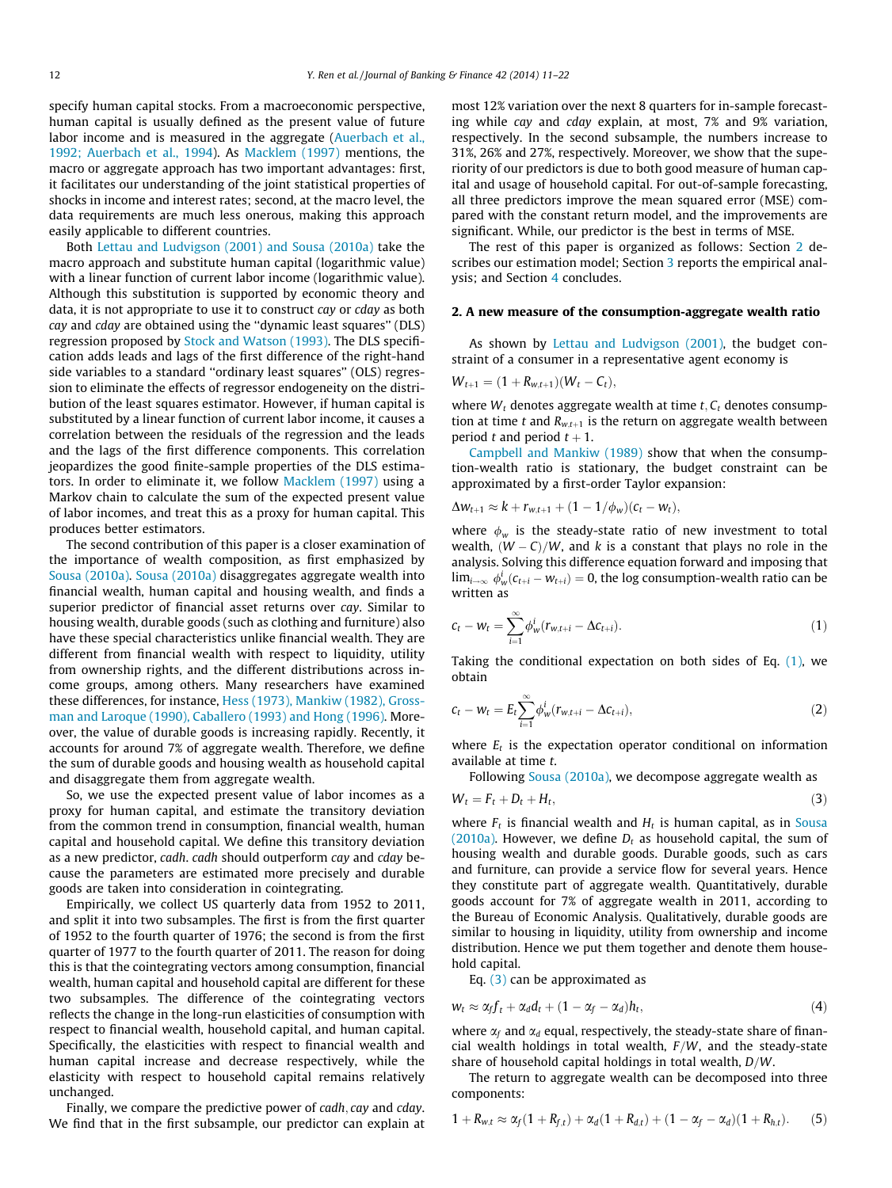specify human capital stocks. From a macroeconomic perspective, human capital is usually defined as the present value of future labor income and is measured in the aggregate [\(Auerbach et al.,](#page--1-0) [1992; Auerbach et al., 1994](#page--1-0)). As [Macklem \(1997\)](#page--1-0) mentions, the macro or aggregate approach has two important advantages: first, it facilitates our understanding of the joint statistical properties of shocks in income and interest rates; second, at the macro level, the data requirements are much less onerous, making this approach easily applicable to different countries.

Both [Lettau and Ludvigson \(2001\) and Sousa \(2010a\)](#page--1-0) take the macro approach and substitute human capital (logarithmic value) with a linear function of current labor income (logarithmic value). Although this substitution is supported by economic theory and data, it is not appropriate to use it to construct cay or cday as both cay and cday are obtained using the ''dynamic least squares'' (DLS) regression proposed by [Stock and Watson \(1993\).](#page--1-0) The DLS specification adds leads and lags of the first difference of the right-hand side variables to a standard ''ordinary least squares'' (OLS) regression to eliminate the effects of regressor endogeneity on the distribution of the least squares estimator. However, if human capital is substituted by a linear function of current labor income, it causes a correlation between the residuals of the regression and the leads and the lags of the first difference components. This correlation jeopardizes the good finite-sample properties of the DLS estimators. In order to eliminate it, we follow [Macklem \(1997\)](#page--1-0) using a Markov chain to calculate the sum of the expected present value of labor incomes, and treat this as a proxy for human capital. This produces better estimators.

The second contribution of this paper is a closer examination of the importance of wealth composition, as first emphasized by [Sousa \(2010a\)](#page--1-0). [Sousa \(2010a\)](#page--1-0) disaggregates aggregate wealth into financial wealth, human capital and housing wealth, and finds a superior predictor of financial asset returns over cay. Similar to housing wealth, durable goods (such as clothing and furniture) also have these special characteristics unlike financial wealth. They are different from financial wealth with respect to liquidity, utility from ownership rights, and the different distributions across income groups, among others. Many researchers have examined these differences, for instance, [Hess \(1973\), Mankiw \(1982\), Gross](#page--1-0)[man and Laroque \(1990\), Caballero \(1993\) and Hong \(1996\).](#page--1-0) Moreover, the value of durable goods is increasing rapidly. Recently, it accounts for around 7% of aggregate wealth. Therefore, we define the sum of durable goods and housing wealth as household capital and disaggregate them from aggregate wealth.

So, we use the expected present value of labor incomes as a proxy for human capital, and estimate the transitory deviation from the common trend in consumption, financial wealth, human capital and household capital. We define this transitory deviation as a new predictor, cadh. cadh should outperform cay and cday because the parameters are estimated more precisely and durable goods are taken into consideration in cointegrating.

Empirically, we collect US quarterly data from 1952 to 2011, and split it into two subsamples. The first is from the first quarter of 1952 to the fourth quarter of 1976; the second is from the first quarter of 1977 to the fourth quarter of 2011. The reason for doing this is that the cointegrating vectors among consumption, financial wealth, human capital and household capital are different for these two subsamples. The difference of the cointegrating vectors reflects the change in the long-run elasticities of consumption with respect to financial wealth, household capital, and human capital. Specifically, the elasticities with respect to financial wealth and human capital increase and decrease respectively, while the elasticity with respect to household capital remains relatively unchanged.

Finally, we compare the predictive power of cadh, cay and cday. We find that in the first subsample, our predictor can explain at most 12% variation over the next 8 quarters for in-sample forecasting while cay and cday explain, at most, 7% and 9% variation, respectively. In the second subsample, the numbers increase to 31%, 26% and 27%, respectively. Moreover, we show that the superiority of our predictors is due to both good measure of human capital and usage of household capital. For out-of-sample forecasting, all three predictors improve the mean squared error (MSE) compared with the constant return model, and the improvements are significant. While, our predictor is the best in terms of MSE.

The rest of this paper is organized as follows: Section 2 de-scribes our estimation model; Section [3](#page--1-0) reports the empirical analysis; and Section [4](#page--1-0) concludes.

#### 2. A new measure of the consumption-aggregate wealth ratio

As shown by [Lettau and Ludvigson \(2001\),](#page--1-0) the budget constraint of a consumer in a representative agent economy is

$$
W_{t+1} = (1 + R_{w,t+1})(W_t - C_t),
$$

where  $W_t$  denotes aggregate wealth at time  $t, C_t$  denotes consumption at time t and  $R_{w,t+1}$  is the return on aggregate wealth between period t and period  $t + 1$ .

[Campbell and Mankiw \(1989\)](#page--1-0) show that when the consumption-wealth ratio is stationary, the budget constraint can be approximated by a first-order Taylor expansion:

$$
\Delta w_{t+1} \approx k + r_{w,t+1} + (1 - 1/\phi_w)(c_t - w_t),
$$

where  $\phi_w$  is the steady-state ratio of new investment to total wealth,  $(W - C)/W$ , and k is a constant that plays no role in the analysis. Solving this difference equation forward and imposing that  $\lim_{i\to\infty} \phi_w^i(c_{t+i}-w_{t+i})=0$ , the log consumption-wealth ratio can be written as

$$
c_t - w_t = \sum_{i=1}^{\infty} \phi_w^i (r_{w,t+i} - \Delta c_{t+i}).
$$
\n(1)

Taking the conditional expectation on both sides of Eq. (1), we obtain

$$
c_t - w_t = E_t \sum_{i=1}^{\infty} \phi_w^i(r_{w,t+i} - \Delta c_{t+i}),
$$
\n(2)

where  $E_t$  is the expectation operator conditional on information available at time t.

Following [Sousa \(2010a\),](#page--1-0) we decompose aggregate wealth as

$$
W_t = F_t + D_t + H_t, \tag{3}
$$

where  $F_t$  is financial wealth and  $H_t$  is human capital, as in [Sousa](#page--1-0) [\(2010a\)](#page--1-0). However, we define  $D_t$  as household capital, the sum of housing wealth and durable goods. Durable goods, such as cars and furniture, can provide a service flow for several years. Hence they constitute part of aggregate wealth. Quantitatively, durable goods account for 7% of aggregate wealth in 2011, according to the Bureau of Economic Analysis. Qualitatively, durable goods are similar to housing in liquidity, utility from ownership and income distribution. Hence we put them together and denote them household capital.

Eq. (3) can be approximated as

$$
w_t \approx \alpha_f f_t + \alpha_d d_t + (1 - \alpha_f - \alpha_d) h_t, \qquad (4)
$$

where  $\alpha_f$  and  $\alpha_d$  equal, respectively, the steady-state share of financial wealth holdings in total wealth,  $F/W$ , and the steady-state share of household capital holdings in total wealth,  $D/W$ .

The return to aggregate wealth can be decomposed into three components:

$$
1 + R_{w,t} \approx \alpha_f (1 + R_{f,t}) + \alpha_d (1 + R_{d,t}) + (1 - \alpha_f - \alpha_d)(1 + R_{h,t}).
$$
 (5)